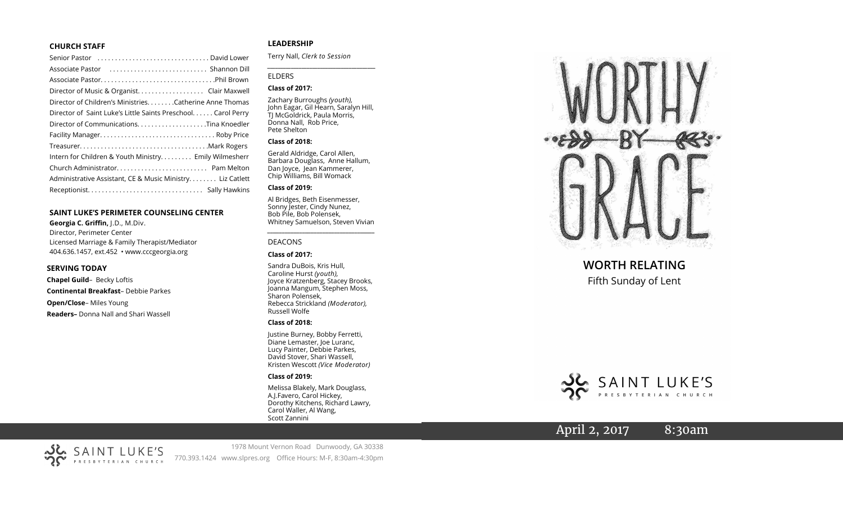#### **CHURCH STAFF**

| Senior Pastor (all contains and contained a senior Pastor contains) |
|---------------------------------------------------------------------|
|                                                                     |
|                                                                     |
| Director of Music & Organist. Clair Maxwell                         |
| Director of Children's MinistriesCatherine Anne Thomas              |
| Director of Saint Luke's Little Saints Preschool. Carol Perry       |
|                                                                     |
|                                                                     |
|                                                                     |
| Intern for Children & Youth Ministry Emily Wilmesherr               |
|                                                                     |
| Administrative Assistant, CE & Music Ministry Liz Catlett           |
|                                                                     |
|                                                                     |

#### **SAINT LUKE 'S PERIMETER COUNSELING CENTER**

**Georgia C. Griffin,** J.D., M.Div. Director, Perimeter Center Licensed Marriage & Family Therapist/Mediator 404.636.1457, ext.452 • www.cccgeorgia.org

#### **SERVING TODAY**

**Chapel Guild** – Becky Loftis **Continental Breakfast** – Debbie Parkes **Open/Close** – Miles Young **Readers –** Donna Nall and Shari Wassell

# **LEADERSHIP**

Terry Nall, *Clerk to Session*

#### ELDERS

### **Class of 2017:**

Zachary Burroughs *(youth),*  John Eagar, Gil Hearn, Saralyn Hill, TJ McGoldrick, Paula Morris, Donna Nall, Rob Price, Pete Shelton

*\_\_\_\_\_\_\_\_\_\_\_\_\_\_\_\_\_\_\_\_\_\_\_\_\_\_\_\_\_\_\_\_\_\_\_\_\_\_\_\_\_*

#### **Class of 2018:**

Gerald Aldridge, Carol Allen, Barbara Douglass, Anne Hallum, Dan Joyce, Jean Kammerer, Chip Williams, Bill Womack

## **Class of 2019:**

Al Bridges, Beth Eisenmesser, Sonny Jester, Cindy Nunez, Bob Pile, Bob Polensek, Whitney Samuelson, Steven Vivian

*\_\_\_\_\_\_\_\_\_\_\_\_\_\_\_\_\_\_\_\_\_\_\_\_\_\_\_\_\_\_\_\_\_\_\_\_\_*

#### DEACONS

#### **Class of 2017:**

Sandra DuBois, Kris Hull, Caroline Hurst *(youth),* Joyce Kratzenberg, Stacey Brooks, Joanna Mangum, Stephen Moss, Sharon Polensek, Rebecca Strickland *(Moderator),*  Russell Wolfe

#### **Class of 2018:**

Justine Burney, Bobby Ferretti, Diane Lemaster, Joe Luranc, Lucy Painter, Debbie Parkes, David Stover, Shari Wassell, Kristen Wescott *(Vice Moderator)*

### **Class of 2019:**

Melissa Blakely, Mark Douglass, A.J.Favero, Carol Hickey, Dorothy Kitchens, Richard Lawry, Carol Waller, Al Wang, Scott Zannini



# **WORTH RELATING**

Fifth Sunday of Lent



# April 2, 2017 8:30am



1978 Mount Vernon Road Dunwoody, GA 30338 770.393.1424 www.slpres.org Office Hours: M -F, 8:30am -4:30pm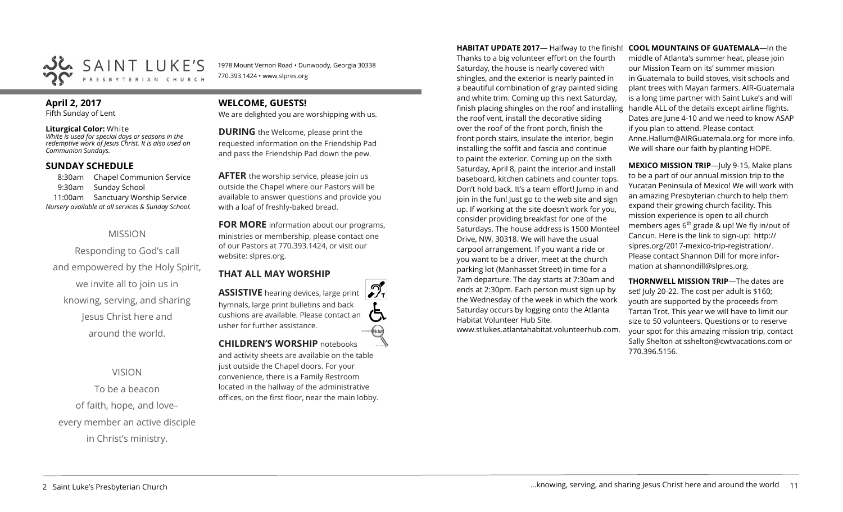

1978 Mount Vernon Road • Dunwoody, Georgia 30338 770.393.1424 • www.slpres.org

# **April 2, 2017**

Fifth Sunday of Lent

### **Liturgical Color:** White

*White is used for special days or seasons in the redemptive work of Jesus Christ. It is also used on Communion Sundays.* 

# **SUNDAY SCHEDULE**

8:30am Chapel Communion Service 9:30am Sunday School 11:00am Sanctuary Worship Service *Nursery available at all services & Sunday School.* 

# MISSION

Responding to God's call and empowered by the Holy Spirit, we invite all to join us in knowing, serving, and sharing Jesus Christ here and around the world.

VISION

To be a beacon of faith, hope, and love– every member an active disciple in Christ's ministry.

# **WELCOME, GUESTS!**

We are delighted you are worshipping with us.

**DURING** the Welcome, please print the requested information on the Friendship Pad and pass the Friendship Pad down the pew.

**AFTER** the worship service, please join us outside the Chapel where our Pastors will be available to answer questions and provide you with a loaf of freshly-baked bread.

**FOR MORE** information about our programs, ministries or membership, please contact one of our Pastors at 770.393.1424, or visit our website: slpres.org.

# **THAT ALL MAY WORSHIP**

 $\mathcal{D}_{\mathbf{r}}$ **ASSISTIVE** hearing devices, large print hymnals, large print bulletins and back cushions are available. Please contact an usher for further assistance. **CHILDREN'S WORSHIP** notebooks

and activity sheets are available on the table just outside the Chapel doors. For your convenience, there is a Family Restroom located in the hallway of the administrative offices, on the first floor, near the main lobby.

**HABITAT UPDATE 2017**— Halfway to the finish! Thanks to a big volunteer effort on the fourth Saturday, the house is nearly covered with shingles, and the exterior is nearly painted in a beautiful combination of gray painted siding and white trim. Coming up this next Saturday, finish placing shingles on the roof and installing the roof vent, install the decorative siding over the roof of the front porch, finish the front porch stairs, insulate the interior, begin installing the soffit and fascia and continue to paint the exterior. Coming up on the sixth Saturday, April 8, paint the interior and install baseboard, kitchen cabinets and counter tops. Don't hold back. It's a team effort! Jump in and join in the fun! Just go to the web site and sign up. If working at the site doesn't work for you, consider providing breakfast for one of the Saturdays. The house address is 1500 Monteel Drive, NW, 30318. We will have the usual carpool arrangement. If you want a ride or you want to be a driver, meet at the church parking lot (Manhasset Street) in time for a 7am departure. The day starts at 7:30am and ends at 2:30pm. Each person must sign up by the Wednesday of the week in which the work Saturday occurs by logging onto the Atlanta Habitat Volunteer Hub Site.

www.stlukes.atlantahabitat.volunteerhub.com.

**COOL MOUNTAINS OF GUATEMALA**—In the middle of Atlanta's summer heat, please join our Mission Team on its' summer mission in Guatemala to build stoves, visit schools and plant trees with Mayan farmers. AIR-Guatemala is a long time partner with Saint Luke's and will handle ALL of the details except airline flights. Dates are June 4-10 and we need to know ASAP if you plan to attend. Please contact Anne.Hallum@AIRGuatemala.org for more info. We will share our faith by planting HOPE.

**MEXICO MISSION TRIP**—July 9-15, Make plans to be a part of our annual mission trip to the Yucatan Peninsula of Mexico! We will work with an amazing Presbyterian church to help them expand their growing church facility. This mission experience is open to all church members ages  $6<sup>th</sup>$  grade & up! We fly in/out of Cancun. Here is the link to sign-up: [http://](http://slpres.org/2017-mexico-trip-registration/) [slpres.org/2017](http://slpres.org/2017-mexico-trip-registration/)-mexico-trip-registration/. Please contact Shannon Dill for more information at shannondill@slpres.org.

**THORNWELL MISSION TRIP**—The dates are set! July 20-22. The cost per adult is \$160; youth are supported by the proceeds from Tartan Trot. This year we will have to limit our size to 50 volunteers. Questions or to reserve your spot for this amazing mission trip, contact Sally Shelton at sshelton@cwtvacations.com or 770.396.5156.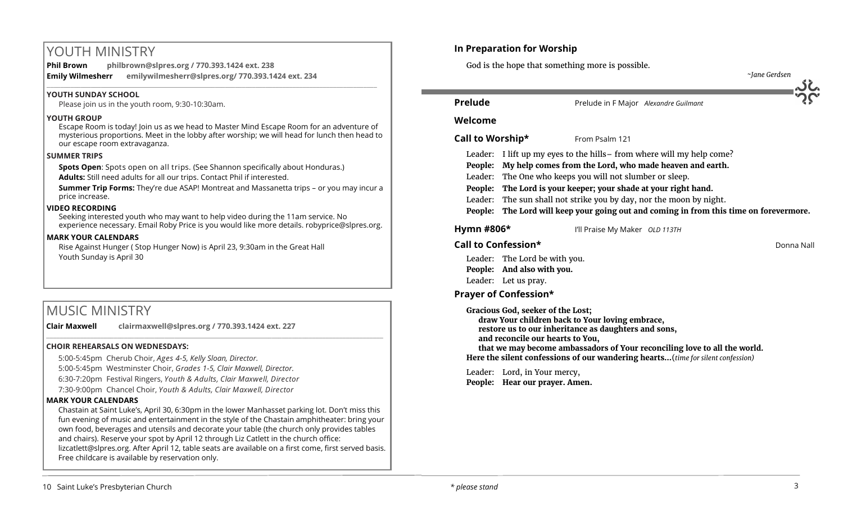# YOUTH MINISTRY

**Phil Brown philbrown@slpres.org / 770.393.1424 ext. 238 Emily Wilmesherr emilywilmesherr@slpres.org/ 770.393.1424 ext. 234**   $\_$  ,  $\_$  ,  $\_$  ,  $\_$  ,  $\_$  ,  $\_$  ,  $\_$  ,  $\_$  ,  $\_$  ,  $\_$  ,  $\_$  ,  $\_$  ,  $\_$  ,  $\_$  ,  $\_$  ,  $\_$  ,  $\_$  ,  $\_$  ,  $\_$  ,  $\_$ 

# **YOUTH SUNDAY SCHOOL**

Please join us in the youth room, 9:30-10:30am.

## **YOUTH GROUP**

Escape Room is today! Join us as we head to Master Mind Escape Room for an adventure of mysterious proportions. Meet in the lobby after worship; we will head for lunch then head to our escape room extravaganza.

## **SUMMER TRIPS**

**Spots Open**: Spots open on all trips. (See Shannon specifically about Honduras.)

**Adults:** Still need adults for all our trips. Contact Phil if interested.

**Summer Trip Forms:** They're due ASAP! Montreat and Massanetta trips – or you may incur a price increase.

## **VIDEO RECORDING**

Seeking interested youth who may want to help video during the 11am service. No experience necessary. Email Roby Price is you would like more details. robyprice@slpres.org.

## **MARK YOUR CALENDARS**

Rise Against Hunger ( Stop Hunger Now) is April 23, 9:30am in the Great Hall Youth Sunday is April 30

# MUSIC MINISTRY

**Clair Maxwell clairmaxwell@slpres.org / 770.393.1424 ext. 227** 

## **CHOIR REHEARSALS ON WEDNESDAYS:**

5:00-5:45pm Cherub Choir, *Ages 4-5, Kelly Sloan, Director.* 

5:00-5:45pm Westminster Choir, *Grades 1-5, Clair Maxwell, Director.* 

6:30-7:20pm Festival Ringers, *Youth & Adults, Clair Maxwell, Director*

7:30-9:00pm Chancel Choir, *Youth & Adults, Clair Maxwell, Director* 

## **MARK YOUR CALENDARS**

Chastain at Saint Luke's, April 30, 6:30pm in the lower Manhasset parking lot. Don't miss this fun evening of music and entertainment in the style of the Chastain amphitheater: bring your own food, beverages and utensils and decorate your table (the church only provides tables and chairs). Reserve your spot by April 12 through Liz Catlett in the church office: [lizcatlett@slpres.org.](mailto:lizcatlett@slpres.org) After April 12, table seats are available on a first come, first served basis. Free childcare is available by reservation only.

\_\_\_\_\_\_\_\_\_\_\_\_\_\_\_\_\_\_\_\_\_\_\_\_\_\_\_\_\_\_\_\_\_\_\_\_\_\_\_\_\_\_\_\_\_\_\_\_\_\_\_\_\_\_\_\_\_\_\_\_\_\_\_\_\_\_\_\_\_\_\_\_\_\_\_\_\_\_\_\_\_\_\_\_\_\_\_\_\_\_\_\_\_\_\_\_\_\_\_\_

# **In Preparation for Worship**

God is the hope that something more is possible.



# **Prelude** Prelude in F Major *Alexandre Guilmant*

# **Welcome**

# **Call to Worship\*** From Psalm 121

Leader: I lift up my eyes to the hills– from where will my help come?

**People: My help comes from the Lord, who made heaven and earth.**

Leader: The One who keeps you will not slumber or sleep.

**People: The Lord is your keeper; your shade at your right hand.**

Leader: The sun shall not strike you by day, nor the moon by night.

**People: The Lord will keep your going out and coming in from this time on forevermore.**

í

**Hymn #806\*** I'll Praise My Maker *OLD 113TH*

# **Call to Confession\*** Donna Nall

Leader: The Lord be with you. **People: And also with you.** Leader: Let us pray.

# **Prayer of Confession\***

**Gracious God, seeker of the Lost;** 

**draw Your children back to Your loving embrace, restore us to our inheritance as daughters and sons,** 

**and reconcile our hearts to You,** 

**that we may become ambassadors of Your reconciling love to all the world. Here the silent confessions of our wandering hearts…**(*time for silent confession)*

Leader: Lord, in Your mercy, **People: Hear our prayer. Amen.**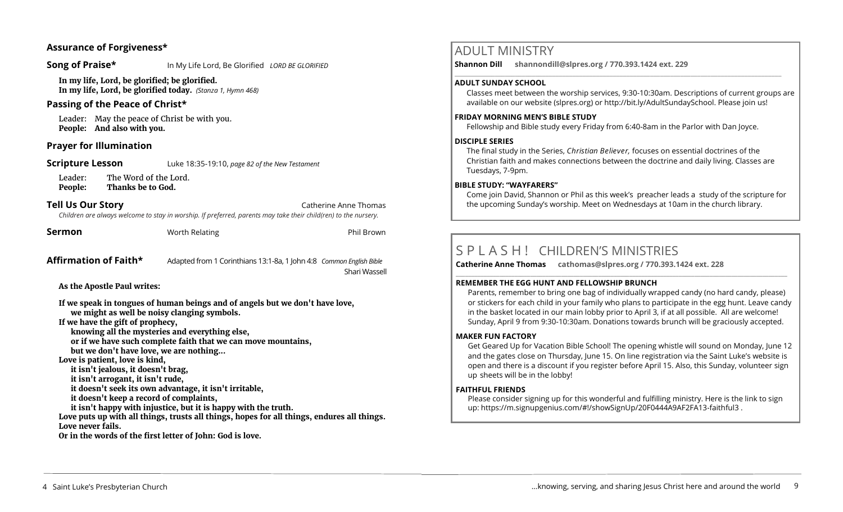# **Assurance of Forgiveness\***

**Song of Praise\*** In My Life Lord, Be Glorified *LORD BE GLORIFIED* 

**In my life, Lord, be glorified; be glorified. In my life, Lord, be glorified today.** *(Stanza 1, Hymn 468)*

# **Passing of the Peace of Christ\***

Leader: May the peace of Christ be with you. **People: And also with you.** 

# **Prayer for Illumination**

**Scripture Lesson** Luke 18:35-19:10, *page 82 of the New Testament* 

Leader: The Word of the Lord. **People: Thanks be to God.**

# **Tell Us Our Story Catherine Anne Thomas Catherine Anne Thomas**

*Children are always welcome to stay in worship. If preferred, parents may take their child(ren) to the nursery.*

|  |  | sermon |  |  |
|--|--|--------|--|--|
|  |  |        |  |  |
|  |  |        |  |  |

**Sermon Sermon** Worth Relating **Phil Brown** Phil Brown

### **Affirmation of Faith\*** Adapted from 1 Corinthians 13:1-8a, 1 John 4:8 *Common English Bible* Shari Wassell

**As the Apostle Paul writes:** 

**If we speak in tongues of human beings and of angels but we don't have love, we might as well be noisy clanging symbols.** 

**If we have the gift of prophecy,** 

**knowing all the mysteries and everything else,** 

**or if we have such complete faith that we can move mountains,** 

**but we don't have love, we are nothing...** 

**Love is patient, love is kind,** 

- **it isn't jealous, it doesn't brag,**
- **it isn't arrogant, it isn't rude,**

**it doesn't seek its own advantage, it isn't irritable,** 

**it doesn't keep a record of complaints,** 

**it isn't happy with injustice, but it is happy with the truth.** 

**Love puts up with all things, trusts all things, hopes for all things, endures all things. Love never fails.** 

**Or in the words of the first letter of John: God is love.** 

# ADULT MINISTRY

**Shannon Dill shannondill@slpres.org / 770.393.1424 ext. 229**   $\_$  ,  $\_$  ,  $\_$  ,  $\_$  ,  $\_$  ,  $\_$  ,  $\_$  ,  $\_$  ,  $\_$  ,  $\_$  ,  $\_$  ,  $\_$  ,  $\_$  ,  $\_$  ,  $\_$  ,  $\_$  ,  $\_$  ,  $\_$  ,  $\_$  ,  $\_$ 

# **ADULT SUNDAY SCHOOL**

Classes meet between the worship services, 9:30-10:30am. Descriptions of current groups are available on our website (slpres.org) or http://bit.ly/AdultSundaySchool. Please join us!

# **FRIDAY MORNING MEN'S BIBLE STUDY**

Fellowship and Bible study every Friday from 6:40-8am in the Parlor with Dan Joyce.

# **DISCIPLE SERIES**

The final study in the Series, *Christian Believer,* focuses on essential doctrines of the Christian faith and makes connections between the doctrine and daily living. Classes are Tuesdays, 7-9pm.

# **BIBLE STUDY: "WAYFARERS"**

Come join David, Shannon or Phil as this week's preacher leads a study of the scripture for the upcoming Sunday's worship. Meet on Wednesdays at 10am in the church library.

# S P L A S H ! CHILDREN'S MINISTRIES

**Catherine Anne Thomas cathomas@slpres.org / 770.393.1424 ext. 228 \_\_\_\_\_\_\_\_\_\_\_\_\_\_\_\_\_\_\_\_\_\_\_\_\_\_\_\_\_\_\_\_\_\_\_\_\_\_\_\_\_\_\_\_\_\_\_\_\_\_\_\_\_\_\_\_\_\_\_\_\_\_\_\_\_\_\_\_\_\_\_\_\_\_\_\_\_\_\_\_\_\_\_\_\_\_\_\_\_\_\_\_\_\_\_\_\_\_\_\_\_\_\_\_\_\_\_** 

## **REMEMBER THE EGG HUNT AND FELLOWSHIP BRUNCH**

Parents, remember to bring one bag of individually wrapped candy (no hard candy, please) or stickers for each child in your family who plans to participate in the egg hunt. Leave candy in the basket located in our main lobby prior to April 3, if at all possible. All are welcome! Sunday, April 9 from 9:30-10:30am. Donations towards brunch will be graciously accepted.

## **MAKER FUN FACTORY**

Get Geared Up for Vacation Bible School! The opening whistle will sound on Monday, June 12 and the gates close on Thursday, June 15. On line registration via the Saint Luke's website is open and there is a discount if you register before April 15. Also, this Sunday, volunteer sign up sheets will be in the lobby!

## **FAITHFUL FRIENDS**

Please consider signing up for this wonderful and fulfilling ministry. Here is the link to sign up: [https://m.signupgenius.com/#!/showSignUp/20F0444A9AF2FA13](https://m.signupgenius.com/#!/showSignUp/20F0444A9AF2FA13-faithful3)-faithful3 .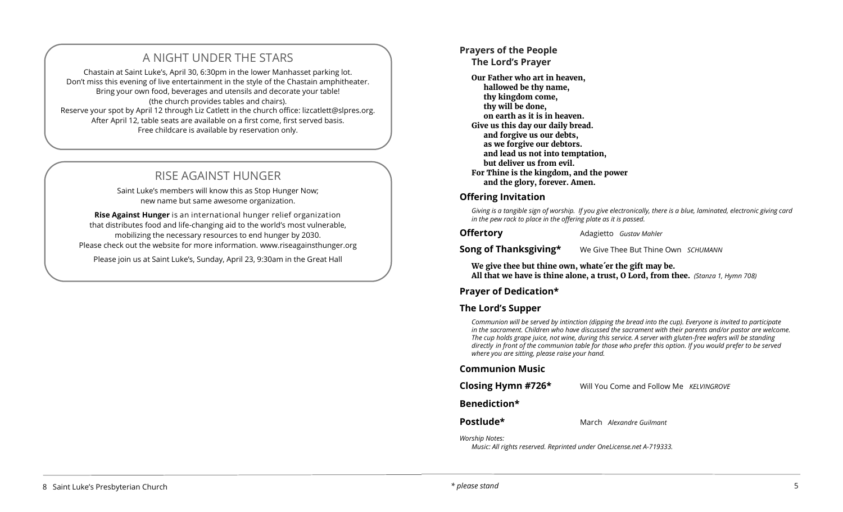# A NIGHT UNDER THE STARS

Chastain at Saint Luke's, April 30, 6:30pm in the lower Manhasset parking lot. Don't miss this evening of live entertainment in the style of the Chastain amphitheater. Bring your own food, beverages and utensils and decorate your table! (the church provides tables and chairs). Reserve your spot by April 12 through Liz Catlett in the church office: [lizcatlett@slpres.org.](mailto:lizcatlett@slpres.org)  After April 12, table seats are available on a first come, first served basis. Free childcare is available by reservation only.

# RISE AGAINST HUNGER

Saint Luke's members will know this as Stop Hunger Now; new name but same awesome organization.

**Rise Against Hunger** is an international hunger relief organization that distributes food and life-changing aid to the world's most vulnerable, mobilizing the necessary resources to end hunger by 2030. Please check out the website for more information. www.riseagainsthunger.org

Please join us at Saint Luke's, Sunday, April 23, 9:30am in the Great Hall

# **Prayers of the People**

**The Lord's Prayer** 

**Our Father who art in heaven, hallowed be thy name, thy kingdom come, thy will be done, on earth as it is in heaven. Give us this day our daily bread. and forgive us our debts, as we forgive our debtors. and lead us not into temptation, but deliver us from evil. For Thine is the kingdom, and the power and the glory, forever. Amen.**

# **Offering Invitation**

*Giving is a tangible sign of worship. If you give electronically, there is a blue, laminated, electronic giving card in the pew rack to place in the offering plate as it is passed.* 

**Offertory** Adagietto *Gustav Mahler* 

**Song of Thanksgiving\*** We Give Thee But Thine Own *SCHUMANN* 

**We give thee but thine own, whate´er the gift may be. All that we have is thine alone, a trust, O Lord, from thee.** *(Stanza 1, Hymn 708)* 

# **Prayer of Dedication\***

# **The Lord's Supper**

*Communion will be served by intinction (dipping the bread into the cup). Everyone is invited to participate in the sacrament. Children who have discussed the sacrament with their parents and/or pastor are welcome. The cup holds grape juice, not wine, during this service. A server with gluten-free wafers will be standing directly in front of the communion table for those who prefer this option. If you would prefer to be served where you are sitting, please raise your hand.* 

# **Communion Music**

| Closing Hymn #726* | Will You Come and Follow Me KELVINGROVE |  |
|--------------------|-----------------------------------------|--|
|--------------------|-----------------------------------------|--|

**Benediction\*** 

# **Postlude\*** March *Alexandre Guilmant*

*Worship Notes:* 

*Music: All rights reserved. Reprinted under OneLicense.net A-719333.*